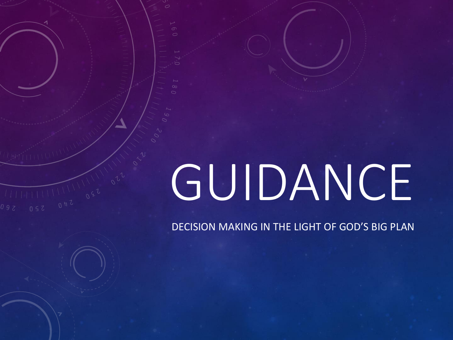## GUIDANCE

DECISION MAKING IN THE LIGHT OF GOD'S BIG PLAN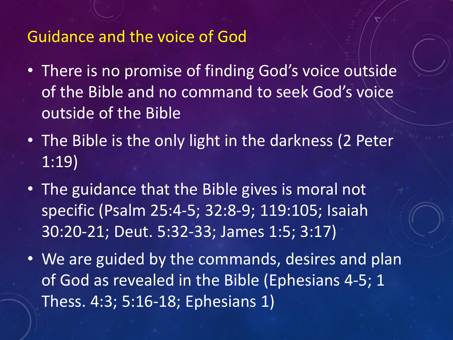## Guidance and the voice of God

- There is no promise of finding God's voice outside of the Bible and no command to seek God's voice outside of the Bible
- The Bible is the only light in the darkness (2 Peter 1:19)
- The guidance that the Bible gives is moral not specific (Psalm 25:4-5; 32:8-9; 119:105; Isaiah 30:20-21; Deut. 5:32-33; James 1:5; 3:17)
- We are guided by the commands, desires and plan of God as revealed in the Bible (Ephesians 4-5; 1 Thess. 4:3; 5:16-18; Ephesians 1)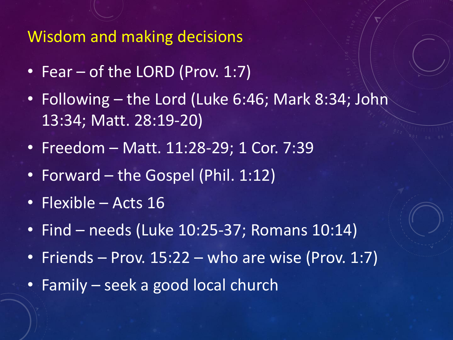Wisdom and making decisions

- Fear of the LORD (Prov. 1:7)
- Following the Lord (Luke 6:46; Mark 8:34; John 13:34; Matt. 28:19-20)
- Freedom Matt. 11:28-29; 1 Cor. 7:39
- Forward the Gospel (Phil. 1:12)
- Flexible Acts 16
- Find needs (Luke 10:25-37; Romans 10:14)
- Friends Prov.  $15:22$  who are wise (Prov. 1:7)
- Family seek a good local church